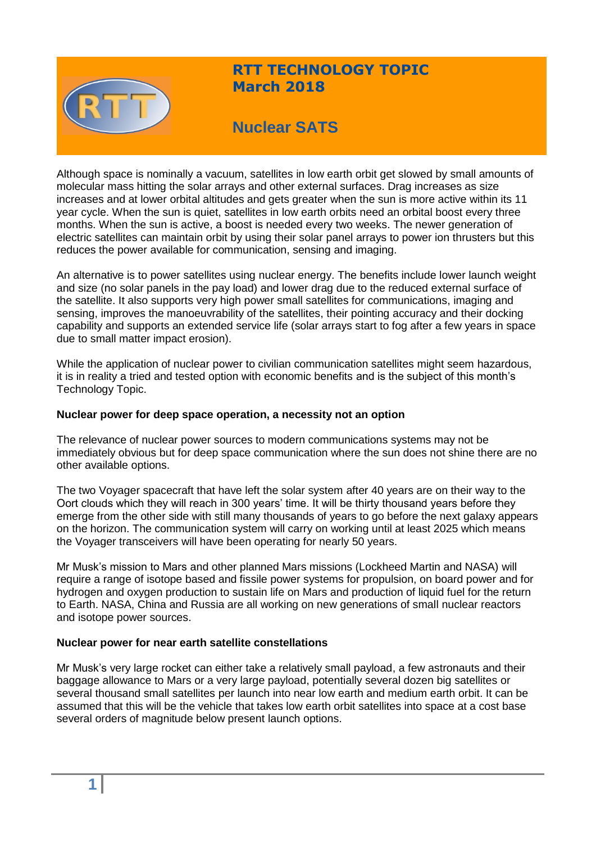

## **RTT TECHNOLOGY TOPIC March 2018**

# **Nuclear SATS**

Although space is nominally a vacuum, satellites in low earth orbit get slowed by small amounts of molecular mass hitting the solar arrays and other external surfaces. Drag increases as size increases and at lower orbital altitudes and gets greater when the sun is more active within its 11 year cycle. When the sun is quiet, satellites in low earth orbits need an orbital boost every three months. When the sun is active, a boost is needed every two weeks. The newer generation of electric satellites can maintain orbit by using their solar panel arrays to power ion thrusters but this reduces the power available for communication, sensing and imaging.

An alternative is to power satellites using nuclear energy. The benefits include lower launch weight and size (no solar panels in the pay load) and lower drag due to the reduced external surface of the satellite. It also supports very high power small satellites for communications, imaging and sensing, improves the manoeuvrability of the satellites, their pointing accuracy and their docking capability and supports an extended service life (solar arrays start to fog after a few years in space due to small matter impact erosion).

While the application of nuclear power to civilian communication satellites might seem hazardous, it is in reality a tried and tested option with economic benefits and is the subject of this month's Technology Topic.

#### **Nuclear power for deep space operation, a necessity not an option**

The relevance of nuclear power sources to modern communications systems may not be immediately obvious but for deep space communication where the sun does not shine there are no other available options.

The two Voyager spacecraft that have left the solar system after 40 years are on their way to the Oort clouds which they will reach in 300 years' time. It will be thirty thousand years before they emerge from the other side with still many thousands of years to go before the next galaxy appears on the horizon. The communication system will carry on working until at least 2025 which means the Voyager transceivers will have been operating for nearly 50 years.

Mr Musk's mission to Mars and other planned Mars missions (Lockheed Martin and NASA) will require a range of isotope based and fissile power systems for propulsion, on board power and for hydrogen and oxygen production to sustain life on Mars and production of liquid fuel for the return to Earth. NASA, China and Russia are all working on new generations of small nuclear reactors and isotope power sources.

#### **Nuclear power for near earth satellite constellations**

Mr Musk's very large rocket can either take a relatively small payload, a few astronauts and their baggage allowance to Mars or a very large payload, potentially several dozen big satellites or several thousand small satellites per launch into near low earth and medium earth orbit. It can be assumed that this will be the vehicle that takes low earth orbit satellites into space at a cost base several orders of magnitude below present launch options.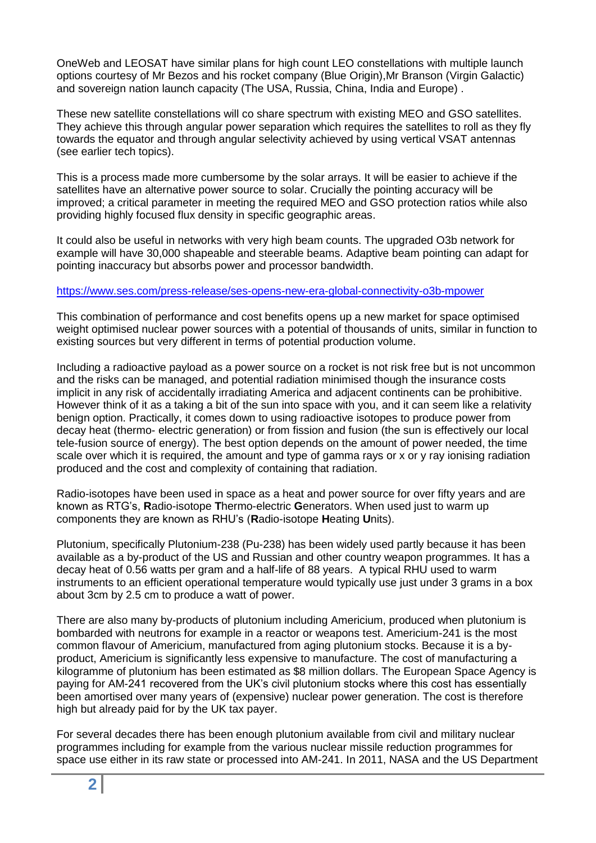OneWeb and LEOSAT have similar plans for high count LEO constellations with multiple launch options courtesy of Mr Bezos and his rocket company (Blue Origin),Mr Branson (Virgin Galactic) and sovereign nation launch capacity (The USA, Russia, China, India and Europe) .

These new satellite constellations will co share spectrum with existing MEO and GSO satellites. They achieve this through angular power separation which requires the satellites to roll as they fly towards the equator and through angular selectivity achieved by using vertical VSAT antennas (see earlier tech topics).

This is a process made more cumbersome by the solar arrays. It will be easier to achieve if the satellites have an alternative power source to solar. Crucially the pointing accuracy will be improved; a critical parameter in meeting the required MEO and GSO protection ratios while also providing highly focused flux density in specific geographic areas.

It could also be useful in networks with very high beam counts. The upgraded O3b network for example will have 30,000 shapeable and steerable beams. Adaptive beam pointing can adapt for pointing inaccuracy but absorbs power and processor bandwidth.

#### <https://www.ses.com/press-release/ses-opens-new-era-global-connectivity-o3b-mpower>

This combination of performance and cost benefits opens up a new market for space optimised weight optimised nuclear power sources with a potential of thousands of units, similar in function to existing sources but very different in terms of potential production volume.

Including a radioactive payload as a power source on a rocket is not risk free but is not uncommon and the risks can be managed, and potential radiation minimised though the insurance costs implicit in any risk of accidentally irradiating America and adjacent continents can be prohibitive. However think of it as a taking a bit of the sun into space with you, and it can seem like a relativity benign option. Practically, it comes down to using radioactive isotopes to produce power from decay heat (thermo- electric generation) or from fission and fusion (the sun is effectively our local tele-fusion source of energy). The best option depends on the amount of power needed, the time scale over which it is required, the amount and type of gamma rays or x or y ray ionising radiation produced and the cost and complexity of containing that radiation.

Radio-isotopes have been used in space as a heat and power source for over fifty years and are known as RTG's, **R**adio-isotope **T**hermo-electric **G**enerators. When used just to warm up components they are known as RHU's (**R**adio-isotope **H**eating **U**nits).

Plutonium, specifically Plutonium-238 (Pu-238) has been widely used partly because it has been available as a by-product of the US and Russian and other country weapon programmes. It has a decay heat of 0.56 watts per gram and a half-life of 88 years. A typical RHU used to warm instruments to an efficient operational temperature would typically use just under 3 grams in a box about 3cm by 2.5 cm to produce a watt of power.

There are also many by-products of plutonium including Americium, produced when plutonium is bombarded with neutrons for example in a reactor or weapons test. Americium-241 is the most common flavour of Americium, manufactured from aging plutonium stocks. Because it is a byproduct, Americium is significantly less expensive to manufacture. The cost of manufacturing a kilogramme of plutonium has been estimated as \$8 million dollars. The European Space Agency is paying for AM-241 recovered from the UK's civil plutonium stocks where this cost has essentially been amortised over many years of (expensive) nuclear power generation. The cost is therefore high but already paid for by the UK tax payer.

For several decades there has been enough plutonium available from civil and military nuclear programmes including for example from the various nuclear missile reduction programmes for space use either in its raw state or processed into AM-241. In 2011, NASA and the US Department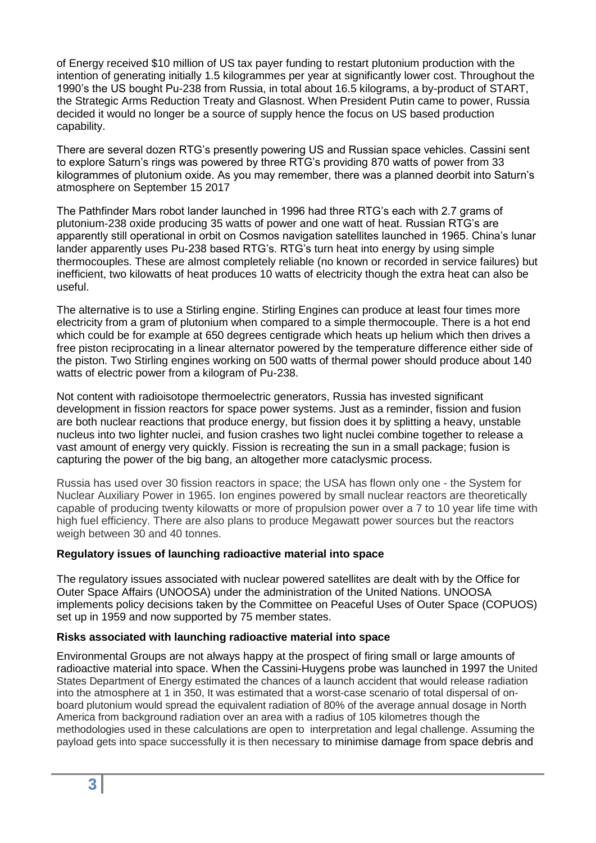of Energy received \$10 million of US tax payer funding to restart plutonium production with the intention of generating initially 1.5 kilogrammes per year at significantly lower cost. Throughout the 1990's the US bought Pu-238 from Russia, in total about 16.5 kilograms, a by-product of START, the Strategic Arms Reduction Treaty and Glasnost. When President Putin came to power, Russia decided it would no longer be a source of supply hence the focus on US based production capability.

There are several dozen RTG's presently powering US and Russian space vehicles. Cassini sent to explore Saturn's rings was powered by three RTG's providing 870 watts of power from 33 kilogrammes of plutonium oxide. As you may remember, there was a planned deorbit into Saturn's atmosphere on September 15 2017

The Pathfinder Mars robot lander launched in 1996 had three RTG's each with 2.7 grams of plutonium-238 oxide producing 35 watts of power and one watt of heat. Russian RTG's are apparently still operational in orbit on Cosmos navigation satellites launched in 1965. China's lunar lander apparently uses Pu-238 based RTG's. RTG's turn heat into energy by using simple thermocouples. These are almost completely reliable (no known or recorded in service failures) but inefficient, two kilowatts of heat produces 10 watts of electricity though the extra heat can also be useful.

The alternative is to use a Stirling engine. Stirling Engines can produce at least four times more electricity from a gram of plutonium when compared to a simple thermocouple. There is a hot end which could be for example at 650 degrees centigrade which heats up helium which then drives a free piston reciprocating in a linear alternator powered by the temperature difference either side of the piston. Two Stirling engines working on 500 watts of thermal power should produce about 140 watts of electric power from a kilogram of Pu-238.

Not content with radioisotope thermoelectric generators, Russia has invested significant development in fission reactors for space power systems. Just as a reminder, fission and fusion are both nuclear reactions that produce energy, but fission does it by splitting a heavy, unstable nucleus into two lighter nuclei, and fusion crashes two light nuclei combine together to release a vast amount of energy very quickly. Fission is recreating the sun in a small package; fusion is capturing the power of the big bang, an altogether more cataclysmic process.

Russia has used over 30 fission reactors in space; the USA has flown only one - the System for Nuclear Auxiliary Power in 1965. Ion engines powered by small nuclear reactors are theoretically capable of producing twenty kilowatts or more of propulsion power over a 7 to 10 year life time with high fuel efficiency. There are also plans to produce Megawatt power sources but the reactors weigh between 30 and 40 tonnes.

#### **Regulatory issues of launching radioactive material into space**

The regulatory issues associated with nuclear powered satellites are dealt with by the Office for Outer Space Affairs (UNOOSA) under the administration of the United Nations. UNOOSA implements policy decisions taken by the Committee on Peaceful Uses of Outer Space (COPUOS) set up in 1959 and now supported by 75 member states.

#### **Risks associated with launching radioactive material into space**

Environmental Groups are not always happy at the prospect of firing small or large amounts of radioactive material into space. When the Cassini-Huygens probe was launched in 1997 the United States Department of Energy estimated the chances of a launch accident that would release radiation into the atmosphere at 1 in 350, It was estimated that a worst-case scenario of total dispersal of onboard plutonium would spread the equivalent radiation of 80% of the average annual dosage in North America from background radiation over an area with a radius of 105 kilometres though the methodologies used in these calculations are open to interpretation and legal challenge. Assuming the payload gets into space successfully it is then necessary to minimise damage from space debris and